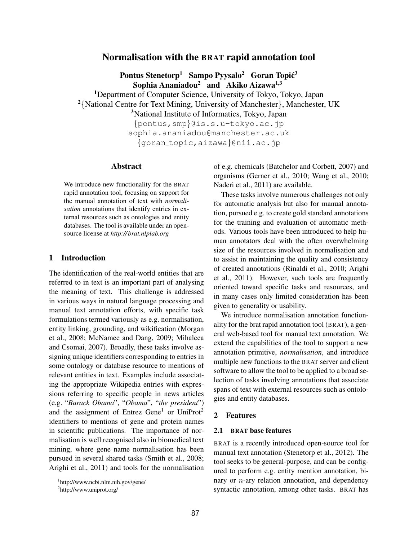# Normalisation with the BRAT rapid annotation tool

Pontus Stenetorp<sup>1</sup> Sampo Pyysalo<sup>2</sup> Goran Topić<sup>3</sup> Sophia Ananiadou<sup>2</sup> and Akiko Aizawa<sup>1,3</sup>

<sup>1</sup>Department of Computer Science, University of Tokyo, Tokyo, Japan <sup>2</sup>{National Centre for Text Mining, University of Manchester}, Manchester, UK

<sup>3</sup>National Institute of Informatics, Tokyo, Japan

{pontus,smp}@is.s.u-tokyo.ac.jp sophia.ananiadou@manchester.ac.uk {goran topic,aizawa}@nii.ac.jp

## Abstract

We introduce new functionality for the BRAT rapid annotation tool, focusing on support for the manual annotation of text with *normalisation* annotations that identify entries in external resources such as ontologies and entity databases. The tool is available under an opensource license at *http:// brat.nlplab.org*

#### 1 Introduction

The identification of the real-world entities that are referred to in text is an important part of analysing the meaning of text. This challenge is addressed in various ways in natural language processing and manual text annotation efforts, with specific task formulations termed variously as e.g. normalisation, entity linking, grounding, and wikification (Morgan et al., 2008; McNamee and Dang, 2009; Mihalcea and Csomai, 2007). Broadly, these tasks involve assigning unique identifiers corresponding to entries in some ontology or database resource to mentions of relevant entities in text. Examples include associating the appropriate Wikipedia entries with expressions referring to specific people in news articles (e.g. "*Barack Obama*", "*Obama*", "*the president*") and the assignment of Entrez Gene<sup>1</sup> or UniProt<sup>2</sup> identifiers to mentions of gene and protein names in scientific publications. The importance of normalisation is well recognised also in biomedical text mining, where gene name normalisation has been pursued in several shared tasks (Smith et al., 2008; Arighi et al., 2011) and tools for the normalisation

of e.g. chemicals (Batchelor and Corbett, 2007) and organisms (Gerner et al., 2010; Wang et al., 2010; Naderi et al., 2011) are available.

These tasks involve numerous challenges not only for automatic analysis but also for manual annotation, pursued e.g. to create gold standard annotations for the training and evaluation of automatic methods. Various tools have been introduced to help human annotators deal with the often overwhelming size of the resources involved in normalisation and to assist in maintaining the quality and consistency of created annotations (Rinaldi et al., 2010; Arighi et al., 2011). However, such tools are frequently oriented toward specific tasks and resources, and in many cases only limited consideration has been given to generality or usability.

We introduce normalisation annotation functionality for the brat rapid annotation tool (BRAT), a general web-based tool for manual text annotation. We extend the capabilities of the tool to support a new annotation primitive, *normalisation*, and introduce multiple new functions to the BRAT server and client software to allow the tool to be applied to a broad selection of tasks involving annotations that associate spans of text with external resources such as ontologies and entity databases.

#### 2 Features

#### 2.1 BRAT base features

BRAT is a recently introduced open-source tool for manual text annotation (Stenetorp et al., 2012). The tool seeks to be general-purpose, and can be configured to perform e.g. entity mention annotation, binary or  $n$ -ary relation annotation, and dependency syntactic annotation, among other tasks. BRAT has

<sup>1</sup> http://www.ncbi.nlm.nih.gov/gene/

<sup>&</sup>lt;sup>2</sup>http://www.uniprot.org/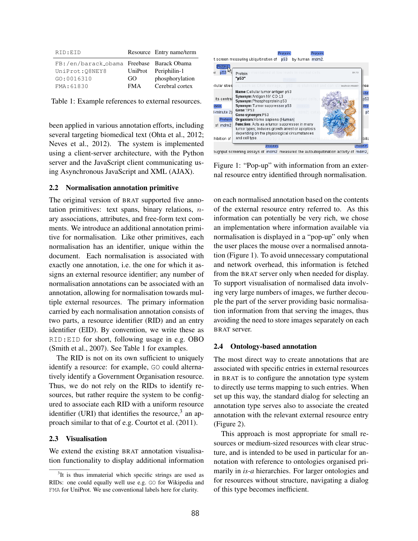| RID:EID                                                      |            | Resource Entry name/term |
|--------------------------------------------------------------|------------|--------------------------|
| FB:/en/barack_obama Freebase Barack Obama<br>UniProt: 08NEY8 |            | UniProt Periphilin-1     |
| GO:0016310                                                   | GO         | phosphorylation          |
| FMA: 61830                                                   | <b>FMA</b> | Cerebral cortex          |

Table 1: Example references to external resources.

been applied in various annotation efforts, including several targeting biomedical text (Ohta et al., 2012; Neves et al., 2012). The system is implemented using a client-server architecture, with the Python server and the JavaScript client communicating using Asynchronous JavaScript and XML (AJAX).

#### 2.2 Normalisation annotation primitive

The original version of BRAT supported five annotation primitives: text spans, binary relations,  $n$ ary associations, attributes, and free-form text comments. We introduce an additional annotation primitive for normalisation. Like other primitives, each normalisation has an identifier, unique within the document. Each normalisation is associated with exactly one annotation, i.e. the one for which it assigns an external resource identifier; any number of normalisation annotations can be associated with an annotation, allowing for normalisation towards multiple external resources. The primary information carried by each normalisation annotation consists of two parts, a resource identifier (RID) and an entry identifier (EID). By convention, we write these as RID:EID for short, following usage in e.g. OBO (Smith et al., 2007). See Table 1 for examples.

The RID is not on its own sufficient to uniquely identify a resource: for example, GO could alternatively identify a Government Organisation resource. Thus, we do not rely on the RIDs to identify resources, but rather require the system to be configured to associate each RID with a uniform resource identifier (URI) that identifies the resource, $3$  an approach similar to that of e.g. Courtot et al. (2011).

#### 2.3 Visualisation

We extend the existing BRAT annotation visualisation functionality to display additional information



oughput screening assays of mdm2 measured the autoubiquitination activity of mdm2,

Figure 1: "Pop-up" with information from an external resource entry identified through normalisation.

on each normalised annotation based on the contents of the external resource entry referred to. As this information can potentially be very rich, we chose an implementation where information available via normalisation is displayed in a "pop-up" only when the user places the mouse over a normalised annotation (Figure 1). To avoid unnecessary computational and network overhead, this information is fetched from the BRAT server only when needed for display. To support visualisation of normalised data involving very large numbers of images, we further decouple the part of the server providing basic normalisation information from that serving the images, thus avoiding the need to store images separately on each BRAT server.

### 2.4 Ontology-based annotation

The most direct way to create annotations that are associated with specific entries in external resources in BRAT is to configure the annotation type system to directly use terms mapping to such entries. When set up this way, the standard dialog for selecting an annotation type serves also to associate the created annotation with the relevant external resource entry (Figure 2).

This approach is most appropriate for small resources or medium-sized resources with clear structure, and is intended to be used in particular for annotation with reference to ontologies organised primarily in *is-a* hierarchies. For larger ontologies and for resources without structure, navigating a dialog of this type becomes inefficient.

<sup>&</sup>lt;sup>3</sup>It is thus immaterial which specific strings are used as RIDs: one could equally well use e.g. GO for Wikipedia and FMA for UniProt. We use conventional labels here for clarity.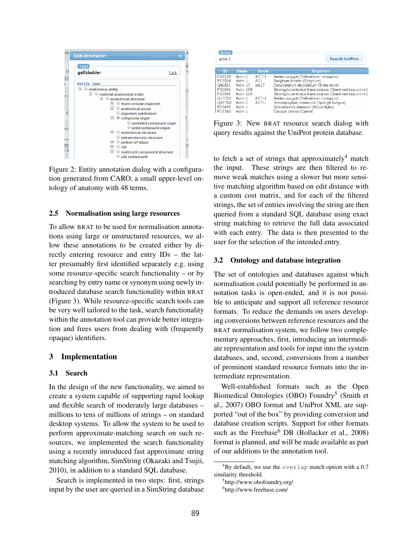

Figure 2: Entity annotation dialog with a configuration generated from CARO, a small upper-level ontology of anatomy with 48 terms.

#### 2.5 Normalisation using large resources

To allow BRAT to be used for normalisation annotations using large or unstructured resources, we allow these annotations to be created either by directly entering resource and entry IDs – the latter presumably first identified separately e.g. using some resource-specific search functionality – or by searching by entry name or synonym using newly introduced database search functionality within BRAT (Figure 3). While resource-specific search tools can be very well tailored to the task, search functionality within the annotation tool can provide better integration and frees users from dealing with (frequently opaque) identifiers.

## 3 Implementation

#### 3.1 Search

In the design of the new functionality, we aimed to create a system capable of supporting rapid lookup and flexible search of moderately large databases – millions to tens of millions of strings – on standard desktop systems. To allow the system to be used to perform approximate-matching search on such resources, we implemented the search functionality using a recently introduced fast approximate string matching algorithm, SimString (Okazaki and Tsujii, 2010), in addition to a standard SQL database.

Search is implemented in two steps: first, strings input by the user are queried in a SimString database

| Query<br>actin-1                                                                       |                                                                                                      |                                                        | <b>Search UniProt</b>                                                                                                                                                                                                                                                                                                                                                              |
|----------------------------------------------------------------------------------------|------------------------------------------------------------------------------------------------------|--------------------------------------------------------|------------------------------------------------------------------------------------------------------------------------------------------------------------------------------------------------------------------------------------------------------------------------------------------------------------------------------------------------------------------------------------|
| ID                                                                                     | Name                                                                                                 | Gene                                                   | Organism                                                                                                                                                                                                                                                                                                                                                                           |
| P49128<br>P53504<br>O6LEI3<br>P10991<br>P10990<br>O17JS1<br>Q9Y702<br>P53470<br>P23343 | Actin-1<br>Actin-1<br>Actin-17<br>Actin-15B<br>Actin-15A<br>Actin-1<br>Actin-1<br>Actin-1<br>Actin-1 | $ACT-1$<br>AC1<br>act17<br>$ACT-1$<br>ACT <sub>1</sub> | Aedes aegypti (Yellowfever mosquito)<br>Sorghum bicolor (Sorghum)<br>Dictyostelium discoideum (Slime mold)<br>Strongylocentrotus franciscanus (Giant red sea urchin)<br>Strongylocentrotus franciscanus (Giant red sea urchin)<br>Aedes aegypti (Yellowfever mosquito)<br>Schizophyllum commune (Split gill fungus)<br>Schistosoma mansoni (Blood fluke)<br>Daucus carota (Carrot) |

Figure 3: New BRAT resource search dialog with query results against the UniProt protein database.

to fetch a set of strings that approximately<sup>4</sup> match the input. These strings are then filtered to remove weak matches using a slower but more sensitive matching algorithm based on edit distance with a custom cost matrix, and for each of the filtered strings, the set of entries involving the string are then queried from a standard SQL database using exact string matching to retrieve the full data associated with each entry. The data is then presented to the user for the selection of the intended entry.

## 3.2 Ontology and database integration

The set of ontologies and databases against which normalisation could potentially be performed in annotation tasks is open-ended, and it is not possible to anticipate and support all reference resource formats. To reduce the demands on users developing conversions between reference resources and the BRAT normalisation system, we follow two complementary approaches, first, introducing an intermediate representation and tools for input into the system databases, and, second, conversions from a number of prominent standard resource formats into the intermediate representation.

Well-established formats such as the Open Biomedical Ontologies (OBO) Foundry<sup>5</sup> (Smith et al., 2007) OBO format and UniProt XML are supported "out of the box" by providing conversion and database creation scripts. Support for other formats such as the Freebase<sup>6</sup> DB (Bollacker et al., 2008) format is planned, and will be made available as part of our additions to the annotation tool.

 ${}^{4}$ By default, we use the overlap match option with a 0.7 similarity threshold.

<sup>5</sup> http://www.obofoundry.org/

<sup>6</sup> http://www.freebase.com/